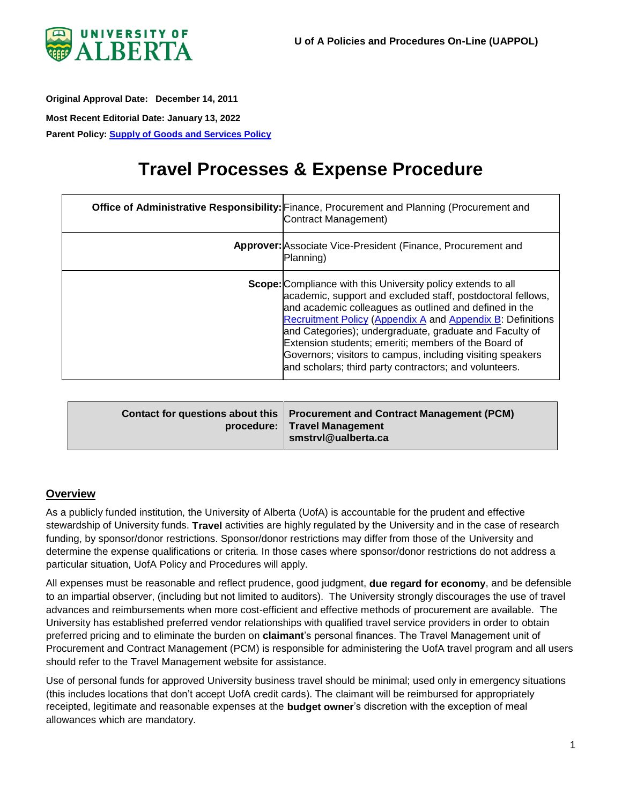

<span id="page-0-0"></span>**Original Approval Date: December 14, 2011 Most Recent Editorial Date: January 13, 2022**

**Parent Policy: [Supply of Goods and Services Policy](https://policiesonline.ualberta.ca/PoliciesProcedures/Policies/Supply-of-Goods-and-Services-Policy.pdf#search=supply%20of%20goods%20and%20services)**

# **Travel Processes & Expense Procedure**

| Office of Administrative Responsibility: Finance, Procurement and Planning (Procurement and<br>Contract Management)                                                                                                                                                                                                                                                                                                                                                                                   |
|-------------------------------------------------------------------------------------------------------------------------------------------------------------------------------------------------------------------------------------------------------------------------------------------------------------------------------------------------------------------------------------------------------------------------------------------------------------------------------------------------------|
| <b>Approver:</b> Associate Vice-President (Finance, Procurement and<br>(Planning)                                                                                                                                                                                                                                                                                                                                                                                                                     |
| <b>Scope:</b> Compliance with this University policy extends to all<br>academic, support and excluded staff, postdoctoral fellows,<br>and academic colleagues as outlined and defined in the<br>Recruitment Policy (Appendix A and Appendix B: Definitions<br>and Categories); undergraduate, graduate and Faculty of<br>Extension students; emeriti; members of the Board of<br>Governors; visitors to campus, including visiting speakers<br>and scholars; third party contractors; and volunteers. |

| Contact for questions about this   Procurement and Contract Management (PCM)<br>procedure:   Travel Management<br>smstrvl@ualberta.ca |
|---------------------------------------------------------------------------------------------------------------------------------------|
|---------------------------------------------------------------------------------------------------------------------------------------|

## **Overview**

As a publicly funded institution, the University of Alberta (UofA) is accountable for the prudent and effective stewardship of University funds. **Travel** activities are highly regulated by the University and in the case of research funding, by sponsor/donor restrictions. Sponsor/donor restrictions may differ from those of the University and determine the expense qualifications or criteria. In those cases where sponsor/donor restrictions do not address a particular situation, UofA Policy and Procedures will apply.

All expenses must be reasonable and reflect prudence, good judgment, **due regard for economy**, and be defensible to an impartial observer, (including but not limited to auditors). The University strongly discourages the use of travel advances and reimbursements when more cost-efficient and effective methods of procurement are available. The University has established preferred vendor relationships with qualified travel service providers in order to obtain preferred pricing and to eliminate the burden on **claimant**'s personal finances. The Travel Management unit of Procurement and Contract Management (PCM) is responsible for administering the UofA travel program and all users should refer to the Travel Management website for assistance.

Use of personal funds for approved University business travel should be minimal; used only in emergency situations (this includes locations that don't accept UofA credit cards). The claimant will be reimbursed for appropriately receipted, legitimate and reasonable expenses at the **budget owner**'s discretion with the exception of meal allowances which are mandatory.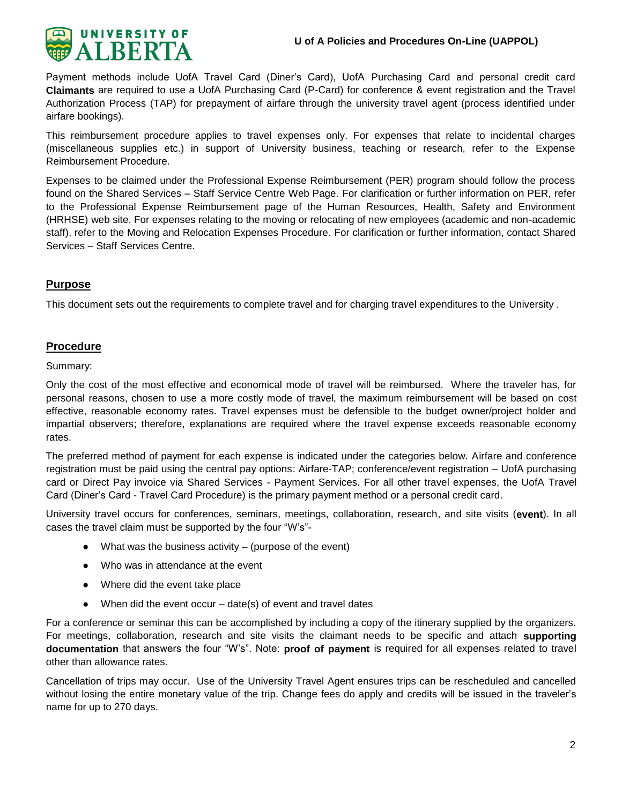

Payment methods include UofA Travel Card (Diner's Card), UofA Purchasing Card and personal credit card **Claimants** are required to use a UofA Purchasing Card (P-Card) for conference & event registration and the Travel Authorization Process (TAP) for prepayment of airfare through the university travel agent (process identified under airfare bookings).

This reimbursement procedure applies to travel expenses only. For expenses that relate to incidental charges (miscellaneous supplies etc.) in support of University business, teaching or research, refer to the Expense Reimbursement Procedure.

Expenses to be claimed under the Professional Expense Reimbursement (PER) program should follow the process found on the Shared Services – Staff Service Centre Web Page. For clarification or further information on PER, refer to the Professional Expense Reimbursement page of the Human Resources, Health, Safety and Environment (HRHSE) web site. For expenses relating to the moving or relocating of new employees (academic and non-academic staff), refer to the Moving and Relocation Expenses Procedure. For clarification or further information, contact Shared Services – Staff Services Centre.

## **Purpose**

This document sets out the requirements to complete travel and for charging travel expenditures to the University .

## **Procedure**

#### Summary:

Only the cost of the most effective and economical mode of travel will be reimbursed. Where the traveler has, for personal reasons, chosen to use a more costly mode of travel, the maximum reimbursement will be based on cost effective, reasonable economy rates. Travel expenses must be defensible to the budget owner/project holder and impartial observers; therefore, explanations are required where the travel expense exceeds reasonable economy rates.

The preferred method of payment for each expense is indicated under the categories below. Airfare and conference registration must be paid using the central pay options: Airfare-TAP; conference/event registration – UofA purchasing card or Direct Pay invoice via Shared Services - Payment Services. For all other travel expenses, the UofA Travel Card (Diner's Card - Travel Card Procedure) is the primary payment method or a personal credit card.

University travel occurs for conferences, seminars, meetings, collaboration, research, and site visits (**event**). In all cases the travel claim must be supported by the four "W's"-

- $\bullet$  What was the business activity (purpose of the event)
- Who was in attendance at the event
- Where did the event take place
- $\bullet$  When did the event occur date(s) of event and travel dates

For a conference or seminar this can be accomplished by including a copy of the itinerary supplied by the organizers. For meetings, collaboration, research and site visits the claimant needs to be specific and attach **supporting documentation** that answers the four "W's". Note: **proof of payment** is required for all expenses related to travel other than allowance rates.

Cancellation of trips may occur. Use of the University Travel Agent ensures trips can be rescheduled and cancelled without losing the entire monetary value of the trip. Change fees do apply and credits will be issued in the traveler's name for up to 270 days.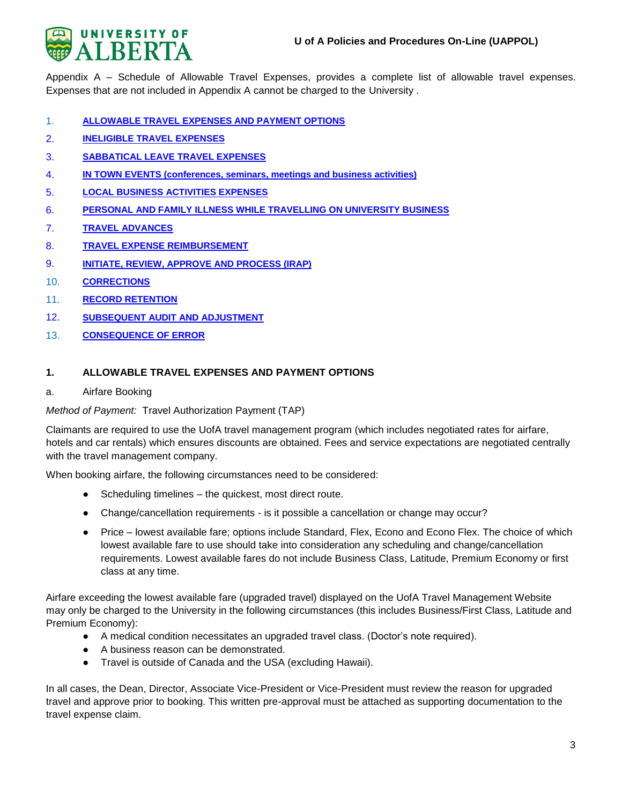

Appendix A – Schedule of Allowable Travel Expenses, provides a complete list of allowable travel expenses. Expenses that are not included in Appendix A cannot be charged to the University .

- 1. **[ALLOWABLE TRAVEL EXPENSES AND PAYMENT OPTIONS](#page-2-0)**
- 2. **[INELIGIBLE TRAVEL EXPENSES](#page-9-0)**
- 3. **[SABBATICAL LEAVE TRAVEL EXPENSES](#page-10-0)**
- 4. **[IN TOWN EVENTS \(conferences, seminars, meetings and business activities\)](#page-10-1)**
- 5. **[LOCAL BUSINESS ACTIVITIES EXPENSES](#page-10-2)**
- 6. **[PERSONAL AND FAMILY ILLNESS WHILE TRAVELLING ON UNIVERSITY BUSINESS](#page-11-0)**
- 7. **[TRAVEL ADVANCES](#page-11-1)**
- 8. **[TRAVEL EXPENSE REIMBURSEMENT](#page-12-0)**
- 9. **[INITIATE, REVIEW, APPROVE AND PROCESS \(IRAP\)](#page-15-0)**
- 10. **[CORRECTIONS](#page-16-0)**
- 11. **RECORD RETENTION**
- 12. **[SUBSEQUENT AUDIT AND ADJUSTMENT](#page-16-1)**
- 13. **[CONSEQUENCE OF ERROR](#page-16-2)**

#### <span id="page-2-0"></span>**1. ALLOWABLE TRAVEL EXPENSES AND PAYMENT OPTIONS**

#### a. Airfare Booking

*Method of Payment:* Travel Authorization Payment (TAP)

Claimants are required to use the UofA travel management program (which includes negotiated rates for airfare, hotels and car rentals) which ensures discounts are obtained. Fees and service expectations are negotiated centrally with the travel management company.

When booking airfare, the following circumstances need to be considered:

- Scheduling timelines the quickest, most direct route.
- Change/cancellation requirements is it possible a cancellation or change may occur?
- Price lowest available fare; options include Standard, Flex, Econo and Econo Flex. The choice of which lowest available fare to use should take into consideration any scheduling and change/cancellation requirements. Lowest available fares do not include Business Class, Latitude, Premium Economy or first class at any time.

Airfare exceeding the lowest available fare (upgraded travel) displayed on the UofA Travel Management Website may only be charged to the University in the following circumstances (this includes Business/First Class, Latitude and Premium Economy):

- A medical condition necessitates an upgraded travel class. (Doctor's note required).
- A business reason can be demonstrated.
- Travel is outside of Canada and the USA (excluding Hawaii).

In all cases, the Dean, Director, Associate Vice-President or Vice-President must review the reason for upgraded travel and approve prior to booking. This written pre-approval must be attached as supporting documentation to the travel expense claim.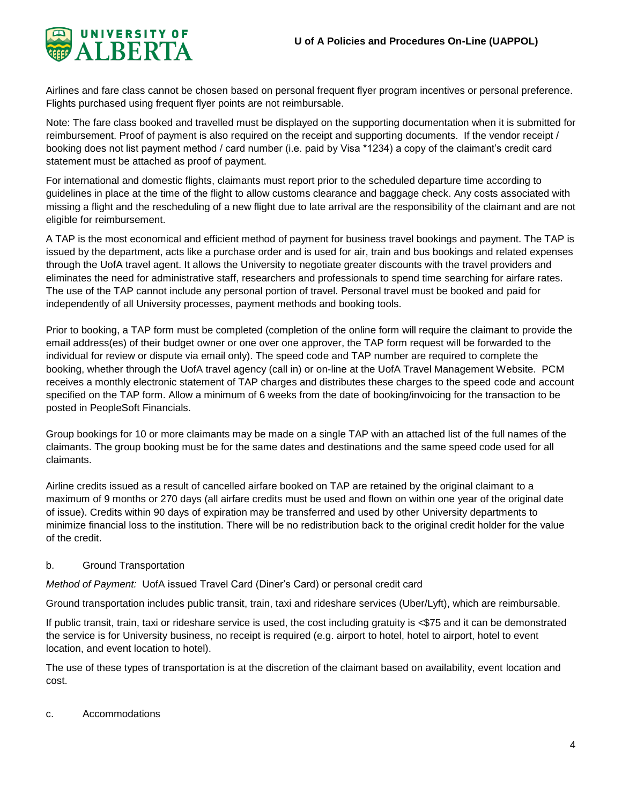

Airlines and fare class cannot be chosen based on personal frequent flyer program incentives or personal preference. Flights purchased using frequent flyer points are not reimbursable.

Note: The fare class booked and travelled must be displayed on the supporting documentation when it is submitted for reimbursement. Proof of payment is also required on the receipt and supporting documents. If the vendor receipt / booking does not list payment method / card number (i.e. paid by Visa \*1234) a copy of the claimant's credit card statement must be attached as proof of payment.

For international and domestic flights, claimants must report prior to the scheduled departure time according to guidelines in place at the time of the flight to allow customs clearance and baggage check. Any costs associated with missing a flight and the rescheduling of a new flight due to late arrival are the responsibility of the claimant and are not eligible for reimbursement.

A TAP is the most economical and efficient method of payment for business travel bookings and payment. The TAP is issued by the department, acts like a purchase order and is used for air, train and bus bookings and related expenses through the UofA travel agent. It allows the University to negotiate greater discounts with the travel providers and eliminates the need for administrative staff, researchers and professionals to spend time searching for airfare rates. The use of the TAP cannot include any personal portion of travel. Personal travel must be booked and paid for independently of all University processes, payment methods and booking tools.

Prior to booking, a TAP form must be completed (completion of the online form will require the claimant to provide the email address(es) of their budget owner or one over one approver, the TAP form request will be forwarded to the individual for review or dispute via email only). The speed code and TAP number are required to complete the booking, whether through the UofA travel agency (call in) or on-line at the UofA Travel Management Website. PCM receives a monthly electronic statement of TAP charges and distributes these charges to the speed code and account specified on the TAP form. Allow a minimum of 6 weeks from the date of booking/invoicing for the transaction to be posted in PeopleSoft Financials.

Group bookings for 10 or more claimants may be made on a single TAP with an attached list of the full names of the claimants. The group booking must be for the same dates and destinations and the same speed code used for all claimants.

Airline credits issued as a result of cancelled airfare booked on TAP are retained by the original claimant to a maximum of 9 months or 270 days (all airfare credits must be used and flown on within one year of the original date of issue). Credits within 90 days of expiration may be transferred and used by other University departments to minimize financial loss to the institution. There will be no redistribution back to the original credit holder for the value of the credit.

## b. Ground Transportation

*Method of Payment:* UofA issued Travel Card (Diner's Card) or personal credit card

Ground transportation includes public transit, train, taxi and rideshare services (Uber/Lyft), which are reimbursable.

If public transit, train, taxi or rideshare service is used, the cost including gratuity is <\$75 and it can be demonstrated the service is for University business, no receipt is required (e.g. airport to hotel, hotel to airport, hotel to event location, and event location to hotel).

The use of these types of transportation is at the discretion of the claimant based on availability, event location and cost.

## c. Accommodations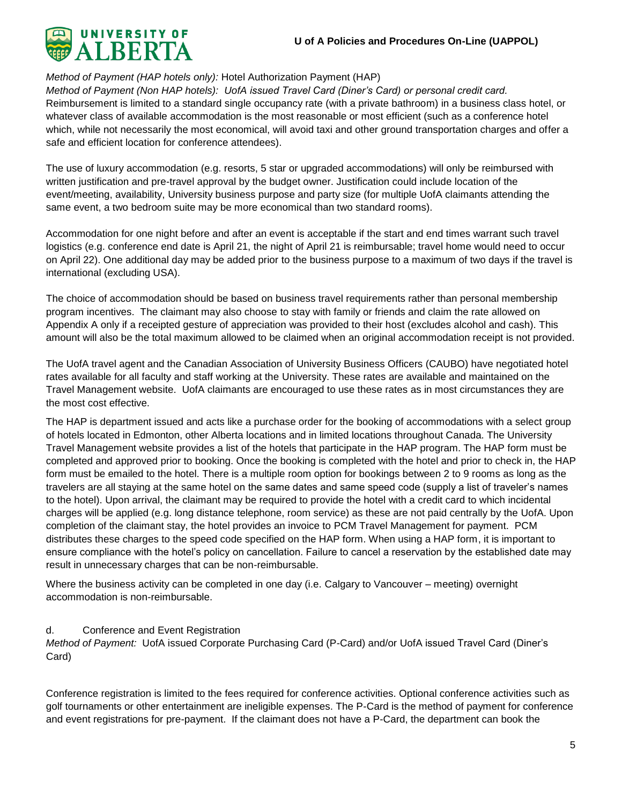

## *Method of Payment (HAP hotels only):* Hotel Authorization Payment (HAP)

*Method of Payment (Non HAP hotels): UofA issued Travel Card (Diner's Card) or personal credit card.* Reimbursement is limited to a standard single occupancy rate (with a private bathroom) in a business class hotel, or whatever class of available accommodation is the most reasonable or most efficient (such as a conference hotel which, while not necessarily the most economical, will avoid taxi and other ground transportation charges and offer a safe and efficient location for conference attendees).

The use of luxury accommodation (e.g. resorts, 5 star or upgraded accommodations) will only be reimbursed with written justification and pre-travel approval by the budget owner. Justification could include location of the event/meeting, availability, University business purpose and party size (for multiple UofA claimants attending the same event, a two bedroom suite may be more economical than two standard rooms).

Accommodation for one night before and after an event is acceptable if the start and end times warrant such travel logistics (e.g. conference end date is April 21, the night of April 21 is reimbursable; travel home would need to occur on April 22). One additional day may be added prior to the business purpose to a maximum of two days if the travel is international (excluding USA).

The choice of accommodation should be based on business travel requirements rather than personal membership program incentives. The claimant may also choose to stay with family or friends and claim the rate allowed on Appendix A only if a receipted gesture of appreciation was provided to their host (excludes alcohol and cash). This amount will also be the total maximum allowed to be claimed when an original accommodation receipt is not provided.

The UofA travel agent and the Canadian Association of University Business Officers (CAUBO) have negotiated hotel rates available for all faculty and staff working at the University. These rates are available and maintained on the Travel Management website. UofA claimants are encouraged to use these rates as in most circumstances they are the most cost effective.

The HAP is department issued and acts like a purchase order for the booking of accommodations with a select group of hotels located in Edmonton, other Alberta locations and in limited locations throughout Canada. The University Travel Management website provides a list of the hotels that participate in the HAP program. The HAP form must be completed and approved prior to booking. Once the booking is completed with the hotel and prior to check in, the HAP form must be emailed to the hotel. There is a multiple room option for bookings between 2 to 9 rooms as long as the travelers are all staying at the same hotel on the same dates and same speed code (supply a list of traveler's names to the hotel). Upon arrival, the claimant may be required to provide the hotel with a credit card to which incidental charges will be applied (e.g. long distance telephone, room service) as these are not paid centrally by the UofA. Upon completion of the claimant stay, the hotel provides an invoice to PCM Travel Management for payment. PCM distributes these charges to the speed code specified on the HAP form. When using a HAP form, it is important to ensure compliance with the hotel's policy on cancellation. Failure to cancel a reservation by the established date may result in unnecessary charges that can be non-reimbursable.

Where the business activity can be completed in one day (i.e. Calgary to Vancouver – meeting) overnight accommodation is non-reimbursable.

## d. Conference and Event Registration

*Method of Payment:* UofA issued Corporate Purchasing Card (P-Card) and/or UofA issued Travel Card (Diner's Card)

Conference registration is limited to the fees required for conference activities. Optional conference activities such as golf tournaments or other entertainment are ineligible expenses. The P-Card is the method of payment for conference and event registrations for pre-payment. If the claimant does not have a P-Card, the department can book the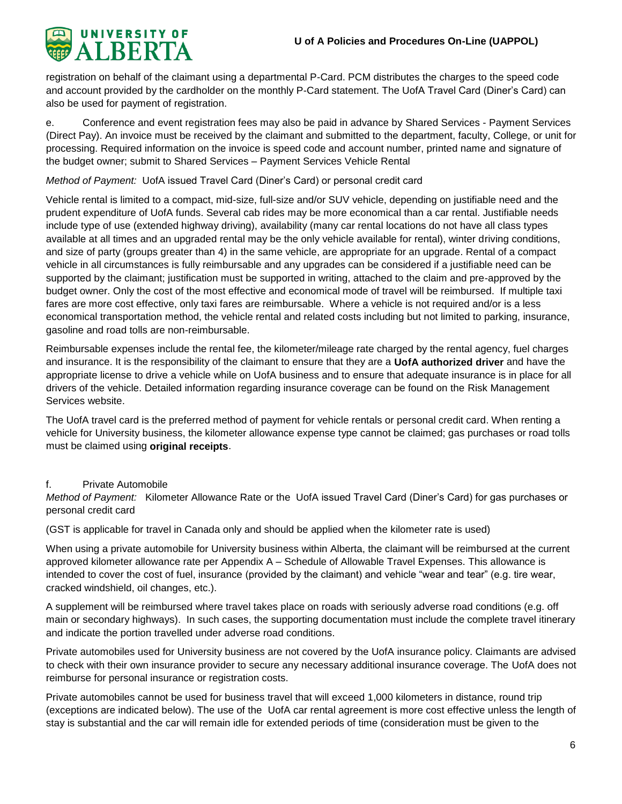

registration on behalf of the claimant using a departmental P-Card. PCM distributes the charges to the speed code and account provided by the cardholder on the monthly P-Card statement. The UofA Travel Card (Diner's Card) can also be used for payment of registration.

e. Conference and event registration fees may also be paid in advance by Shared Services - Payment Services (Direct Pay). An invoice must be received by the claimant and submitted to the department, faculty, College, or unit for processing. Required information on the invoice is speed code and account number, printed name and signature of the budget owner; submit to Shared Services – Payment Services Vehicle Rental

## *Method of Payment:* UofA issued Travel Card (Diner's Card) or personal credit card

Vehicle rental is limited to a compact, mid-size, full-size and/or SUV vehicle, depending on justifiable need and the prudent expenditure of UofA funds. Several cab rides may be more economical than a car rental. Justifiable needs include type of use (extended highway driving), availability (many car rental locations do not have all class types available at all times and an upgraded rental may be the only vehicle available for rental), winter driving conditions, and size of party (groups greater than 4) in the same vehicle, are appropriate for an upgrade. Rental of a compact vehicle in all circumstances is fully reimbursable and any upgrades can be considered if a justifiable need can be supported by the claimant; justification must be supported in writing, attached to the claim and pre-approved by the budget owner. Only the cost of the most effective and economical mode of travel will be reimbursed. If multiple taxi fares are more cost effective, only taxi fares are reimbursable. Where a vehicle is not required and/or is a less economical transportation method, the vehicle rental and related costs including but not limited to parking, insurance, gasoline and road tolls are non-reimbursable.

Reimbursable expenses include the rental fee, the kilometer/mileage rate charged by the rental agency, fuel charges and insurance. It is the responsibility of the claimant to ensure that they are a **UofA authorized driver** and have the appropriate license to drive a vehicle while on UofA business and to ensure that adequate insurance is in place for all drivers of the vehicle. Detailed information regarding insurance coverage can be found on the Risk Management Services website.

The UofA travel card is the preferred method of payment for vehicle rentals or personal credit card. When renting a vehicle for University business, the kilometer allowance expense type cannot be claimed; gas purchases or road tolls must be claimed using **original receipts**.

## f. Private Automobile

*Method of Payment:* Kilometer Allowance Rate or the UofA issued Travel Card (Diner's Card) for gas purchases or personal credit card

(GST is applicable for travel in Canada only and should be applied when the kilometer rate is used)

When using a private automobile for University business within Alberta, the claimant will be reimbursed at the current approved kilometer allowance rate per Appendix A – Schedule of Allowable Travel Expenses. This allowance is intended to cover the cost of fuel, insurance (provided by the claimant) and vehicle "wear and tear" (e.g. tire wear, cracked windshield, oil changes, etc.).

A supplement will be reimbursed where travel takes place on roads with seriously adverse road conditions (e.g. off main or secondary highways). In such cases, the supporting documentation must include the complete travel itinerary and indicate the portion travelled under adverse road conditions.

Private automobiles used for University business are not covered by the UofA insurance policy. Claimants are advised to check with their own insurance provider to secure any necessary additional insurance coverage. The UofA does not reimburse for personal insurance or registration costs.

Private automobiles cannot be used for business travel that will exceed 1,000 kilometers in distance, round trip (exceptions are indicated below). The use of the UofA car rental agreement is more cost effective unless the length of stay is substantial and the car will remain idle for extended periods of time (consideration must be given to the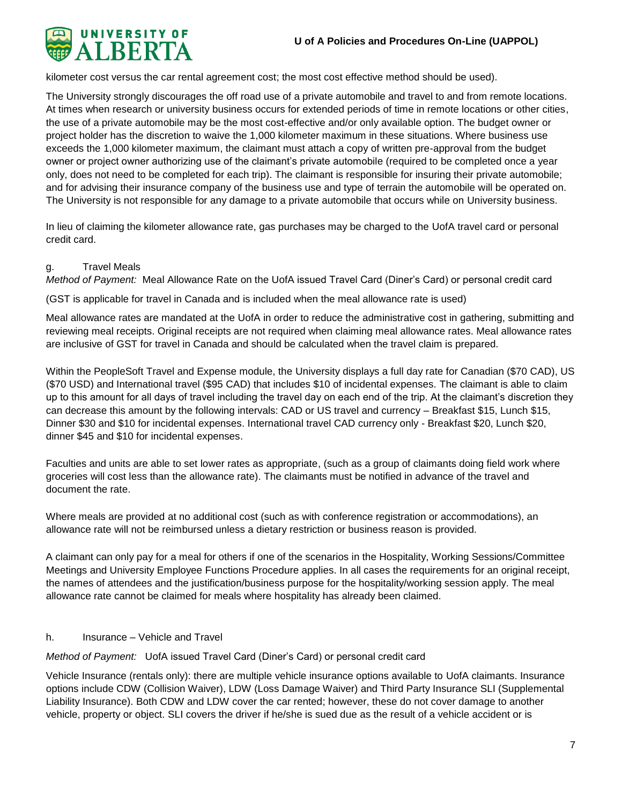

kilometer cost versus the car rental agreement cost; the most cost effective method should be used).

The University strongly discourages the off road use of a private automobile and travel to and from remote locations. At times when research or university business occurs for extended periods of time in remote locations or other cities, the use of a private automobile may be the most cost-effective and/or only available option. The budget owner or project holder has the discretion to waive the 1,000 kilometer maximum in these situations. Where business use exceeds the 1,000 kilometer maximum, the claimant must attach a copy of written pre-approval from the budget owner or project owner authorizing use of the claimant's private automobile (required to be completed once a year only, does not need to be completed for each trip). The claimant is responsible for insuring their private automobile; and for advising their insurance company of the business use and type of terrain the automobile will be operated on. The University is not responsible for any damage to a private automobile that occurs while on University business.

In lieu of claiming the kilometer allowance rate, gas purchases may be charged to the UofA travel card or personal credit card.

## g. Travel Meals

*Method of Payment:* Meal Allowance Rate on the UofA issued Travel Card (Diner's Card) or personal credit card

(GST is applicable for travel in Canada and is included when the meal allowance rate is used)

Meal allowance rates are mandated at the UofA in order to reduce the administrative cost in gathering, submitting and reviewing meal receipts. Original receipts are not required when claiming meal allowance rates. Meal allowance rates are inclusive of GST for travel in Canada and should be calculated when the travel claim is prepared.

Within the PeopleSoft Travel and Expense module, the University displays a full day rate for Canadian (\$70 CAD), US (\$70 USD) and International travel (\$95 CAD) that includes \$10 of incidental expenses. The claimant is able to claim up to this amount for all days of travel including the travel day on each end of the trip. At the claimant's discretion they can decrease this amount by the following intervals: CAD or US travel and currency – Breakfast \$15, Lunch \$15, Dinner \$30 and \$10 for incidental expenses. International travel CAD currency only - Breakfast \$20, Lunch \$20, dinner \$45 and \$10 for incidental expenses.

Faculties and units are able to set lower rates as appropriate, (such as a group of claimants doing field work where groceries will cost less than the allowance rate). The claimants must be notified in advance of the travel and document the rate.

Where meals are provided at no additional cost (such as with conference registration or accommodations), an allowance rate will not be reimbursed unless a dietary restriction or business reason is provided.

A claimant can only pay for a meal for others if one of the scenarios in the Hospitality, Working Sessions/Committee Meetings and University Employee Functions Procedure applies. In all cases the requirements for an original receipt, the names of attendees and the justification/business purpose for the hospitality/working session apply. The meal allowance rate cannot be claimed for meals where hospitality has already been claimed.

## h. Insurance – Vehicle and Travel

*Method of Payment:* UofA issued Travel Card (Diner's Card) or personal credit card

Vehicle Insurance (rentals only): there are multiple vehicle insurance options available to UofA claimants. Insurance options include CDW (Collision Waiver), LDW (Loss Damage Waiver) and Third Party Insurance SLI (Supplemental Liability Insurance). Both CDW and LDW cover the car rented; however, these do not cover damage to another vehicle, property or object. SLI covers the driver if he/she is sued due as the result of a vehicle accident or is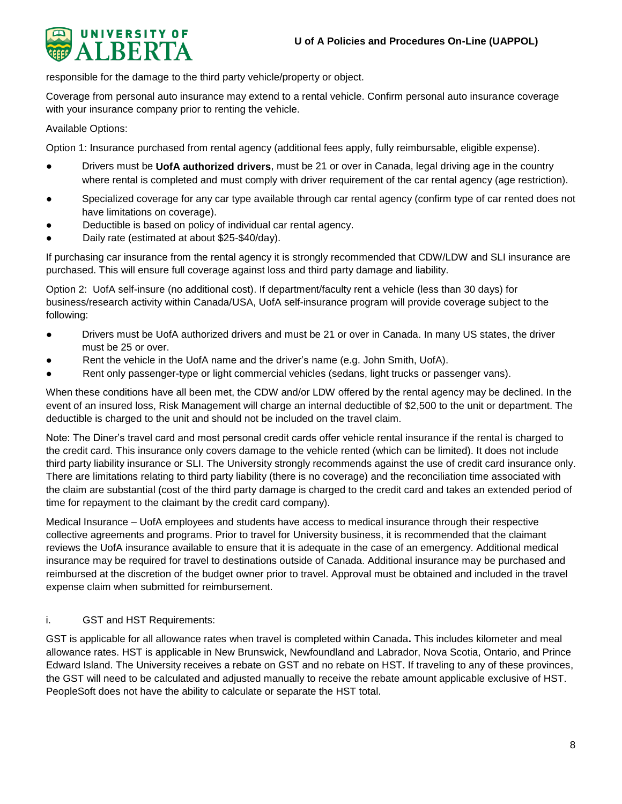

responsible for the damage to the third party vehicle/property or object.

Coverage from personal auto insurance may extend to a rental vehicle. Confirm personal auto insurance coverage with your insurance company prior to renting the vehicle.

Available Options:

Option 1: Insurance purchased from rental agency (additional fees apply, fully reimbursable, eligible expense).

- Drivers must be **UofA authorized drivers**, must be 21 or over in Canada, legal driving age in the country where rental is completed and must comply with driver requirement of the car rental agency (age restriction).
- Specialized coverage for any car type available through car rental agency (confirm type of car rented does not have limitations on coverage).
- Deductible is based on policy of individual car rental agency.
- Daily rate (estimated at about \$25-\$40/day).

If purchasing car insurance from the rental agency it is strongly recommended that CDW/LDW and SLI insurance are purchased. This will ensure full coverage against loss and third party damage and liability.

Option 2: UofA self-insure (no additional cost). If department/faculty rent a vehicle (less than 30 days) for business/research activity within Canada/USA, UofA self-insurance program will provide coverage subject to the following:

- Drivers must be UofA authorized drivers and must be 21 or over in Canada. In many US states, the driver must be 25 or over.
- Rent the vehicle in the UofA name and the driver's name (e.g. John Smith, UofA).
- Rent only passenger-type or light commercial vehicles (sedans, light trucks or passenger vans).

When these conditions have all been met, the CDW and/or LDW offered by the rental agency may be declined. In the event of an insured loss, Risk Management will charge an internal deductible of \$2,500 to the unit or department. The deductible is charged to the unit and should not be included on the travel claim.

Note: The Diner's travel card and most personal credit cards offer vehicle rental insurance if the rental is charged to the credit card. This insurance only covers damage to the vehicle rented (which can be limited). It does not include third party liability insurance or SLI. The University strongly recommends against the use of credit card insurance only. There are limitations relating to third party liability (there is no coverage) and the reconciliation time associated with the claim are substantial (cost of the third party damage is charged to the credit card and takes an extended period of time for repayment to the claimant by the credit card company).

Medical Insurance – UofA employees and students have access to medical insurance through their respective collective agreements and programs. Prior to travel for University business, it is recommended that the claimant reviews the UofA insurance available to ensure that it is adequate in the case of an emergency. Additional medical insurance may be required for travel to destinations outside of Canada. Additional insurance may be purchased and reimbursed at the discretion of the budget owner prior to travel. Approval must be obtained and included in the travel expense claim when submitted for reimbursement.

## i. GST and HST Requirements:

GST is applicable for all allowance rates when travel is completed within Canada**.** This includes kilometer and meal allowance rates. HST is applicable in New Brunswick, Newfoundland and Labrador, Nova Scotia, Ontario, and Prince Edward Island. The University receives a rebate on GST and no rebate on HST. If traveling to any of these provinces, the GST will need to be calculated and adjusted manually to receive the rebate amount applicable exclusive of HST. PeopleSoft does not have the ability to calculate or separate the HST total.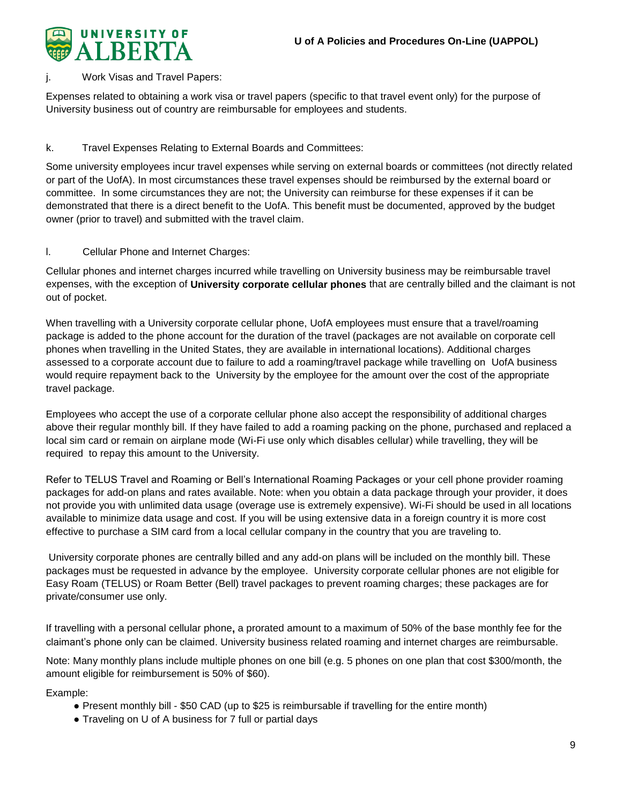

## Work Visas and Travel Papers:

Expenses related to obtaining a work visa or travel papers (specific to that travel event only) for the purpose of University business out of country are reimbursable for employees and students.

## k. Travel Expenses Relating to External Boards and Committees:

Some university employees incur travel expenses while serving on external boards or committees (not directly related or part of the UofA). In most circumstances these travel expenses should be reimbursed by the external board or committee. In some circumstances they are not; the University can reimburse for these expenses if it can be demonstrated that there is a direct benefit to the UofA. This benefit must be documented, approved by the budget owner (prior to travel) and submitted with the travel claim.

## l. Cellular Phone and Internet Charges:

Cellular phones and internet charges incurred while travelling on University business may be reimbursable travel expenses, with the exception of **University corporate cellular phones** that are centrally billed and the claimant is not out of pocket.

When travelling with a University corporate cellular phone, UofA employees must ensure that a travel/roaming package is added to the phone account for the duration of the travel (packages are not available on corporate cell phones when travelling in the United States, they are available in international locations). Additional charges assessed to a corporate account due to failure to add a roaming/travel package while travelling on UofA business would require repayment back to the University by the employee for the amount over the cost of the appropriate travel package.

Employees who accept the use of a corporate cellular phone also accept the responsibility of additional charges above their regular monthly bill. If they have failed to add a roaming packing on the phone, purchased and replaced a local sim card or remain on airplane mode (Wi-Fi use only which disables cellular) while travelling, they will be required to repay this amount to the University.

Refer to TELUS Travel and Roaming or Bell's International Roaming Packages or your cell phone provider roaming packages for add-on plans and rates available. Note: when you obtain a data package through your provider, it does not provide you with unlimited data usage (overage use is extremely expensive). Wi-Fi should be used in all locations available to minimize data usage and cost. If you will be using extensive data in a foreign country it is more cost effective to purchase a SIM card from a local cellular company in the country that you are traveling to.

University corporate phones are centrally billed and any add-on plans will be included on the monthly bill. These packages must be requested in advance by the employee. University corporate cellular phones are not eligible for Easy Roam (TELUS) or Roam Better (Bell) travel packages to prevent roaming charges; these packages are for private/consumer use only.

If travelling with a personal cellular phone**,** a prorated amount to a maximum of 50% of the base monthly fee for the claimant's phone only can be claimed. University business related roaming and internet charges are reimbursable.

Note: Many monthly plans include multiple phones on one bill (e.g. 5 phones on one plan that cost \$300/month, the amount eligible for reimbursement is 50% of \$60).

Example:

- Present monthly bill \$50 CAD (up to \$25 is reimbursable if travelling for the entire month)
- Traveling on U of A business for 7 full or partial days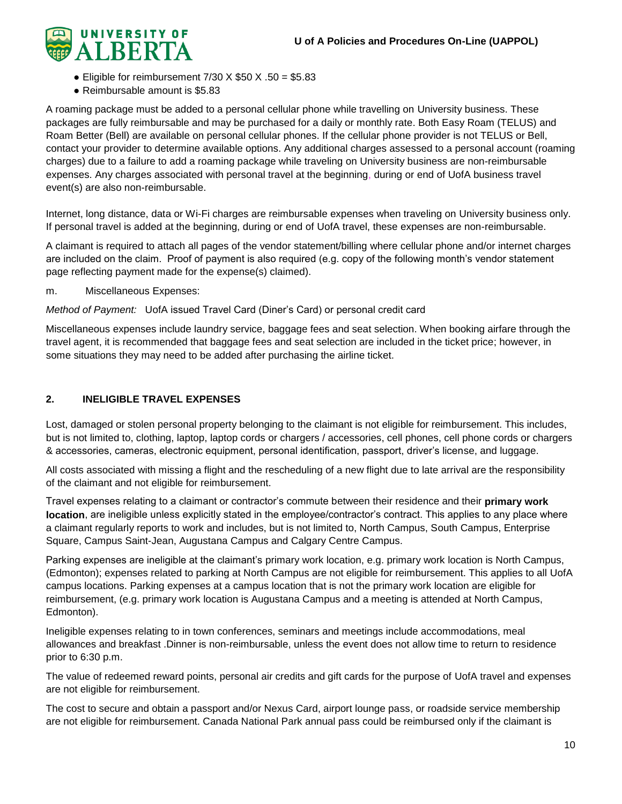

- Eligible for reimbursement  $7/30 \times $50 \times .50 = $5.83$
- Reimbursable amount is \$5.83

A roaming package must be added to a personal cellular phone while travelling on University business. These packages are fully reimbursable and may be purchased for a daily or monthly rate. Both Easy Roam (TELUS) and Roam Better (Bell) are available on personal cellular phones. If the cellular phone provider is not TELUS or Bell, contact your provider to determine available options. Any additional charges assessed to a personal account (roaming charges) due to a failure to add a roaming package while traveling on University business are non-reimbursable expenses. Any charges associated with personal travel at the beginning, during or end of UofA business travel event(s) are also non-reimbursable.

Internet, long distance, data or Wi-Fi charges are reimbursable expenses when traveling on University business only. If personal travel is added at the beginning, during or end of UofA travel, these expenses are non-reimbursable.

A claimant is required to attach all pages of the vendor statement/billing where cellular phone and/or internet charges are included on the claim. Proof of payment is also required (e.g. copy of the following month's vendor statement page reflecting payment made for the expense(s) claimed).

m. Miscellaneous Expenses:

*Method of Payment:* UofA issued Travel Card (Diner's Card) or personal credit card

Miscellaneous expenses include laundry service, baggage fees and seat selection. When booking airfare through the travel agent, it is recommended that baggage fees and seat selection are included in the ticket price; however, in some situations they may need to be added after purchasing the airline ticket.

## <span id="page-9-0"></span>**2. INELIGIBLE TRAVEL EXPENSES**

Lost, damaged or stolen personal property belonging to the claimant is not eligible for reimbursement. This includes, but is not limited to, clothing, laptop, laptop cords or chargers / accessories, cell phones, cell phone cords or chargers & accessories, cameras, electronic equipment, personal identification, passport, driver's license, and luggage.

All costs associated with missing a flight and the rescheduling of a new flight due to late arrival are the responsibility of the claimant and not eligible for reimbursement.

Travel expenses relating to a claimant or contractor's commute between their residence and their **primary work location**, are ineligible unless explicitly stated in the employee/contractor's contract. This applies to any place where a claimant regularly reports to work and includes, but is not limited to, North Campus, South Campus, Enterprise Square, Campus Saint-Jean, Augustana Campus and Calgary Centre Campus.

Parking expenses are ineligible at the claimant's primary work location, e.g. primary work location is North Campus, (Edmonton); expenses related to parking at North Campus are not eligible for reimbursement. This applies to all UofA campus locations. Parking expenses at a campus location that is not the primary work location are eligible for reimbursement, (e.g. primary work location is Augustana Campus and a meeting is attended at North Campus, Edmonton).

Ineligible expenses relating to in town conferences, seminars and meetings include accommodations, meal allowances and breakfast .Dinner is non-reimbursable, unless the event does not allow time to return to residence prior to 6:30 p.m.

The value of redeemed reward points, personal air credits and gift cards for the purpose of UofA travel and expenses are not eligible for reimbursement.

The cost to secure and obtain a passport and/or Nexus Card, airport lounge pass, or roadside service membership are not eligible for reimbursement. Canada National Park annual pass could be reimbursed only if the claimant is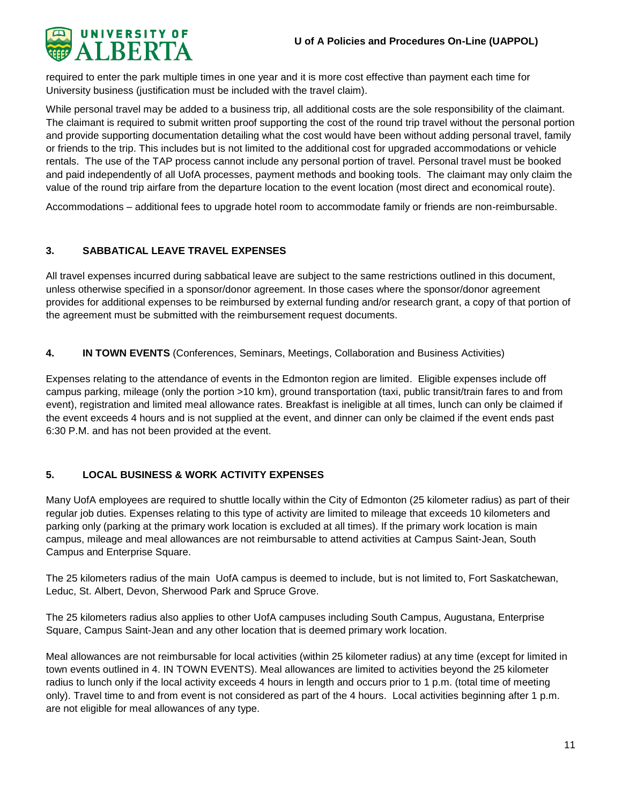

required to enter the park multiple times in one year and it is more cost effective than payment each time for University business (justification must be included with the travel claim).

While personal travel may be added to a business trip, all additional costs are the sole responsibility of the claimant. The claimant is required to submit written proof supporting the cost of the round trip travel without the personal portion and provide supporting documentation detailing what the cost would have been without adding personal travel, family or friends to the trip. This includes but is not limited to the additional cost for upgraded accommodations or vehicle rentals. The use of the TAP process cannot include any personal portion of travel. Personal travel must be booked and paid independently of all UofA processes, payment methods and booking tools. The claimant may only claim the value of the round trip airfare from the departure location to the event location (most direct and economical route).

Accommodations – additional fees to upgrade hotel room to accommodate family or friends are non-reimbursable.

## <span id="page-10-0"></span>**3. SABBATICAL LEAVE TRAVEL EXPENSES**

All travel expenses incurred during sabbatical leave are subject to the same restrictions outlined in this document, unless otherwise specified in a sponsor/donor agreement. In those cases where the sponsor/donor agreement provides for additional expenses to be reimbursed by external funding and/or research grant, a copy of that portion of the agreement must be submitted with the reimbursement request documents.

<span id="page-10-1"></span>**4. IN TOWN EVENTS** (Conferences, Seminars, Meetings, Collaboration and Business Activities)

Expenses relating to the attendance of events in the Edmonton region are limited. Eligible expenses include off campus parking, mileage (only the portion >10 km), ground transportation (taxi, public transit/train fares to and from event), registration and limited meal allowance rates. Breakfast is ineligible at all times, lunch can only be claimed if the event exceeds 4 hours and is not supplied at the event, and dinner can only be claimed if the event ends past 6:30 P.M. and has not been provided at the event.

## <span id="page-10-2"></span>**5. LOCAL BUSINESS & WORK ACTIVITY EXPENSES**

Many UofA employees are required to shuttle locally within the City of Edmonton (25 kilometer radius) as part of their regular job duties. Expenses relating to this type of activity are limited to mileage that exceeds 10 kilometers and parking only (parking at the primary work location is excluded at all times). If the primary work location is main campus, mileage and meal allowances are not reimbursable to attend activities at Campus Saint-Jean, South Campus and Enterprise Square.

The 25 kilometers radius of the main UofA campus is deemed to include, but is not limited to, Fort Saskatchewan, Leduc, St. Albert, Devon, Sherwood Park and Spruce Grove.

The 25 kilometers radius also applies to other UofA campuses including South Campus, Augustana, Enterprise Square, Campus Saint-Jean and any other location that is deemed primary work location.

Meal allowances are not reimbursable for local activities (within 25 kilometer radius) at any time (except for limited in town events outlined in 4. IN TOWN EVENTS). Meal allowances are limited to activities beyond the 25 kilometer radius to lunch only if the local activity exceeds 4 hours in length and occurs prior to 1 p.m. (total time of meeting only). Travel time to and from event is not considered as part of the 4 hours. Local activities beginning after 1 p.m. are not eligible for meal allowances of any type.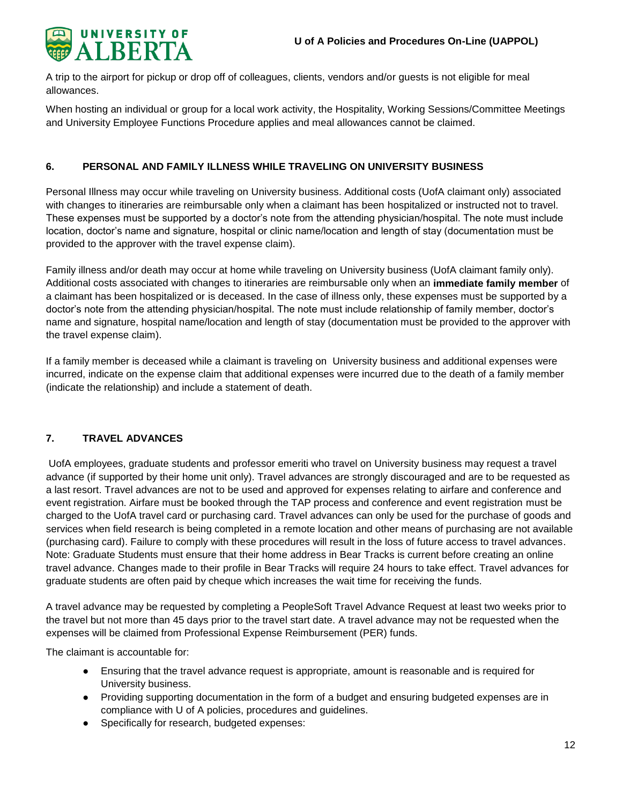

A trip to the airport for pickup or drop off of colleagues, clients, vendors and/or guests is not eligible for meal allowances.

When hosting an individual or group for a local work activity, the Hospitality, Working Sessions/Committee Meetings and University Employee Functions Procedure applies and meal allowances cannot be claimed.

## <span id="page-11-0"></span>**6. PERSONAL AND FAMILY ILLNESS WHILE TRAVELING ON UNIVERSITY BUSINESS**

Personal Illness may occur while traveling on University business. Additional costs (UofA claimant only) associated with changes to itineraries are reimbursable only when a claimant has been hospitalized or instructed not to travel. These expenses must be supported by a doctor's note from the attending physician/hospital. The note must include location, doctor's name and signature, hospital or clinic name/location and length of stay (documentation must be provided to the approver with the travel expense claim).

Family illness and/or death may occur at home while traveling on University business (UofA claimant family only). Additional costs associated with changes to itineraries are reimbursable only when an **immediate family member** of a claimant has been hospitalized or is deceased. In the case of illness only, these expenses must be supported by a doctor's note from the attending physician/hospital. The note must include relationship of family member, doctor's name and signature, hospital name/location and length of stay (documentation must be provided to the approver with the travel expense claim).

If a family member is deceased while a claimant is traveling on University business and additional expenses were incurred, indicate on the expense claim that additional expenses were incurred due to the death of a family member (indicate the relationship) and include a statement of death.

## <span id="page-11-1"></span>**7. TRAVEL ADVANCES**

UofA employees, graduate students and professor emeriti who travel on University business may request a travel advance (if supported by their home unit only). Travel advances are strongly discouraged and are to be requested as a last resort. Travel advances are not to be used and approved for expenses relating to airfare and conference and event registration. Airfare must be booked through the TAP process and conference and event registration must be charged to the UofA travel card or purchasing card. Travel advances can only be used for the purchase of goods and services when field research is being completed in a remote location and other means of purchasing are not available (purchasing card). Failure to comply with these procedures will result in the loss of future access to travel advances. Note: Graduate Students must ensure that their home address in Bear Tracks is current before creating an online travel advance. Changes made to their profile in Bear Tracks will require 24 hours to take effect. Travel advances for graduate students are often paid by cheque which increases the wait time for receiving the funds.

A travel advance may be requested by completing a PeopleSoft Travel Advance Request at least two weeks prior to the travel but not more than 45 days prior to the travel start date. A travel advance may not be requested when the expenses will be claimed from Professional Expense Reimbursement (PER) funds.

The claimant is accountable for:

- Ensuring that the travel advance request is appropriate, amount is reasonable and is required for University business.
- Providing supporting documentation in the form of a budget and ensuring budgeted expenses are in compliance with U of A policies, procedures and guidelines.
- Specifically for research, budgeted expenses: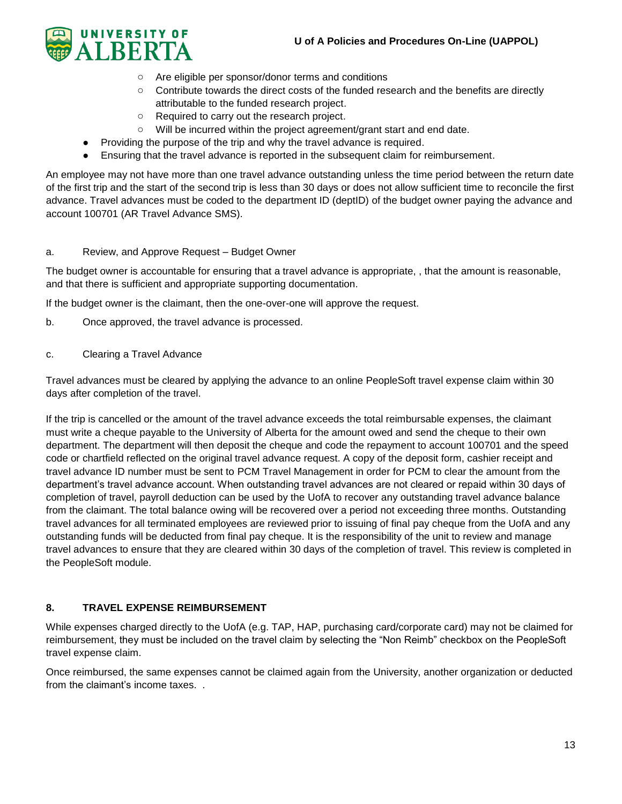

- o Are eligible per sponsor/donor terms and conditions
- o Contribute towards the direct costs of the funded research and the benefits are directly attributable to the funded research project.
- o Required to carry out the research project.
- o Will be incurred within the project agreement/grant start and end date.
- Providing the purpose of the trip and why the travel advance is required.
- Ensuring that the travel advance is reported in the subsequent claim for reimbursement.

An employee may not have more than one travel advance outstanding unless the time period between the return date of the first trip and the start of the second trip is less than 30 days or does not allow sufficient time to reconcile the first advance. Travel advances must be coded to the department ID (deptID) of the budget owner paying the advance and account 100701 (AR Travel Advance SMS).

#### a. Review, and Approve Request – Budget Owner

The budget owner is accountable for ensuring that a travel advance is appropriate, , that the amount is reasonable, and that there is sufficient and appropriate supporting documentation.

If the budget owner is the claimant, then the one-over-one will approve the request.

- b. Once approved, the travel advance is processed.
- c. Clearing a Travel Advance

Travel advances must be cleared by applying the advance to an online PeopleSoft travel expense claim within 30 days after completion of the travel.

If the trip is cancelled or the amount of the travel advance exceeds the total reimbursable expenses, the claimant must write a cheque payable to the University of Alberta for the amount owed and send the cheque to their own department. The department will then deposit the cheque and code the repayment to account 100701 and the speed code or chartfield reflected on the original travel advance request. A copy of the deposit form, cashier receipt and travel advance ID number must be sent to PCM Travel Management in order for PCM to clear the amount from the department's travel advance account. When outstanding travel advances are not cleared or repaid within 30 days of completion of travel, payroll deduction can be used by the UofA to recover any outstanding travel advance balance from the claimant. The total balance owing will be recovered over a period not exceeding three months. Outstanding travel advances for all terminated employees are reviewed prior to issuing of final pay cheque from the UofA and any outstanding funds will be deducted from final pay cheque. It is the responsibility of the unit to review and manage travel advances to ensure that they are cleared within 30 days of the completion of travel. This review is completed in the PeopleSoft module.

## <span id="page-12-0"></span>**8. TRAVEL EXPENSE REIMBURSEMENT**

While expenses charged directly to the UofA (e.g. TAP, HAP, purchasing card/corporate card) may not be claimed for reimbursement, they must be included on the travel claim by selecting the "Non Reimb" checkbox on the PeopleSoft travel expense claim.

Once reimbursed, the same expenses cannot be claimed again from the University, another organization or deducted from the claimant's income taxes. .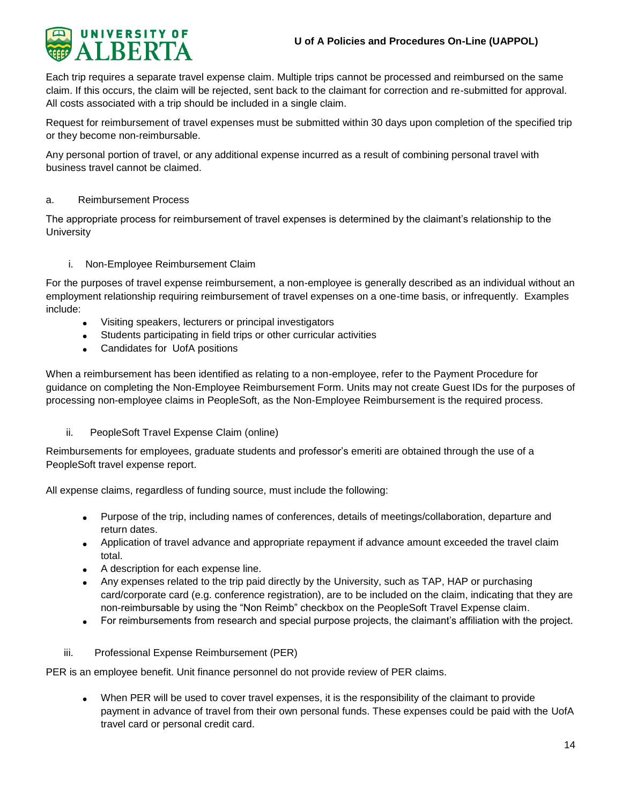

Each trip requires a separate travel expense claim. Multiple trips cannot be processed and reimbursed on the same claim. If this occurs, the claim will be rejected, sent back to the claimant for correction and re-submitted for approval. All costs associated with a trip should be included in a single claim.

Request for reimbursement of travel expenses must be submitted within 30 days upon completion of the specified trip or they become non-reimbursable.

Any personal portion of travel, or any additional expense incurred as a result of combining personal travel with business travel cannot be claimed.

#### a. Reimbursement Process

The appropriate process for reimbursement of travel expenses is determined by the claimant's relationship to the **University** 

#### i. Non-Employee Reimbursement Claim

For the purposes of travel expense reimbursement, a non-employee is generally described as an individual without an employment relationship requiring reimbursement of travel expenses on a one-time basis, or infrequently. Examples include:

- Visiting speakers, lecturers or principal investigators
- Students participating in field trips or other curricular activities
- Candidates for UofA positions

When a reimbursement has been identified as relating to a non-employee, refer to the Payment Procedure for guidance on completing the Non-Employee Reimbursement Form. Units may not create Guest IDs for the purposes of processing non-employee claims in PeopleSoft, as the Non-Employee Reimbursement is the required process.

#### ii. PeopleSoft Travel Expense Claim (online)

Reimbursements for employees, graduate students and professor's emeriti are obtained through the use of a PeopleSoft travel expense report.

All expense claims, regardless of funding source, must include the following:

- Purpose of the trip, including names of conferences, details of meetings/collaboration, departure and return dates.
- Application of travel advance and appropriate repayment if advance amount exceeded the travel claim total.
- A description for each expense line.
- Any expenses related to the trip paid directly by the University, such as TAP, HAP or purchasing card/corporate card (e.g. conference registration), are to be included on the claim, indicating that they are non-reimbursable by using the "Non Reimb" checkbox on the PeopleSoft Travel Expense claim.
- For reimbursements from research and special purpose projects, the claimant's affiliation with the project.
- iii. Professional Expense Reimbursement (PER)

PER is an employee benefit. Unit finance personnel do not provide review of PER claims.

 When PER will be used to cover travel expenses, it is the responsibility of the claimant to provide payment in advance of travel from their own personal funds. These expenses could be paid with the UofA travel card or personal credit card.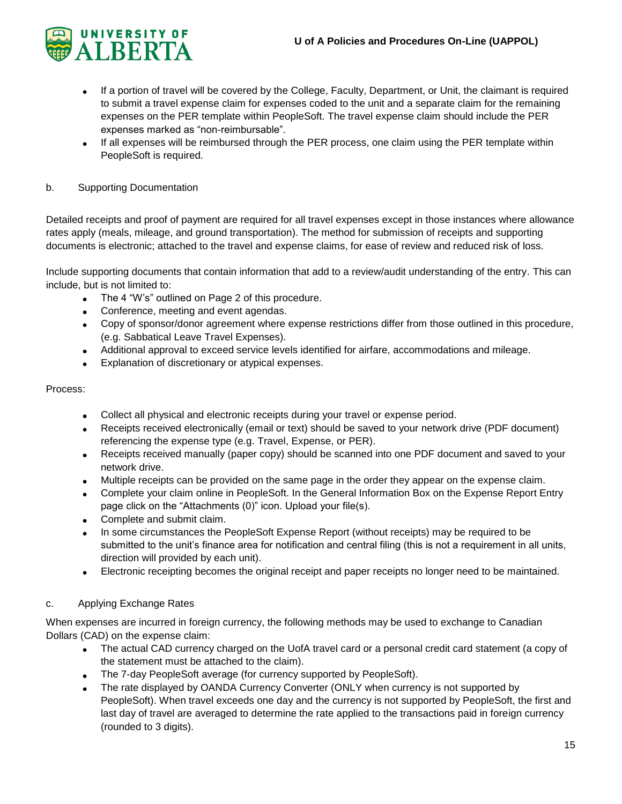

- If a portion of travel will be covered by the College, Faculty, Department, or Unit, the claimant is required to submit a travel expense claim for expenses coded to the unit and a separate claim for the remaining expenses on the PER template within PeopleSoft. The travel expense claim should include the PER expenses marked as "non-reimbursable".
- If all expenses will be reimbursed through the PER process, one claim using the PER template within PeopleSoft is required.

## b. Supporting Documentation

Detailed receipts and proof of payment are required for all travel expenses except in those instances where allowance rates apply (meals, mileage, and ground transportation). The method for submission of receipts and supporting documents is electronic; attached to the travel and expense claims, for ease of review and reduced risk of loss.

Include supporting documents that contain information that add to a review/audit understanding of the entry. This can include, but is not limited to:

- The 4 "W's" outlined on Page 2 of this procedure.
- Conference, meeting and event agendas.
- Copy of sponsor/donor agreement where expense restrictions differ from those outlined in this procedure, (e.g. Sabbatical Leave Travel Expenses).
- Additional approval to exceed service levels identified for airfare, accommodations and mileage.
- Explanation of discretionary or atypical expenses.

#### Process:

- Collect all physical and electronic receipts during your travel or expense period.
- Receipts received electronically (email or text) should be saved to your network drive (PDF document) referencing the expense type (e.g. Travel, Expense, or PER).
- Receipts received manually (paper copy) should be scanned into one PDF document and saved to your network drive.
- Multiple receipts can be provided on the same page in the order they appear on the expense claim.
- Complete your claim online in PeopleSoft. In the General Information Box on the Expense Report Entry page click on the "Attachments (0)" icon. Upload your file(s).
- Complete and submit claim.
- In some circumstances the PeopleSoft Expense Report (without receipts) may be required to be submitted to the unit's finance area for notification and central filing (this is not a requirement in all units, direction will provided by each unit).
- Electronic receipting becomes the original receipt and paper receipts no longer need to be maintained.

## c. Applying Exchange Rates

When expenses are incurred in foreign currency, the following methods may be used to exchange to Canadian Dollars (CAD) on the expense claim:

- The actual CAD currency charged on the UofA travel card or a personal credit card statement (a copy of the statement must be attached to the claim).
- The 7-day PeopleSoft average (for currency supported by PeopleSoft).
- The rate displayed by OANDA Currency Converter (ONLY when currency is not supported by PeopleSoft). When travel exceeds one day and the currency is not supported by PeopleSoft, the first and last day of travel are averaged to determine the rate applied to the transactions paid in foreign currency (rounded to 3 digits).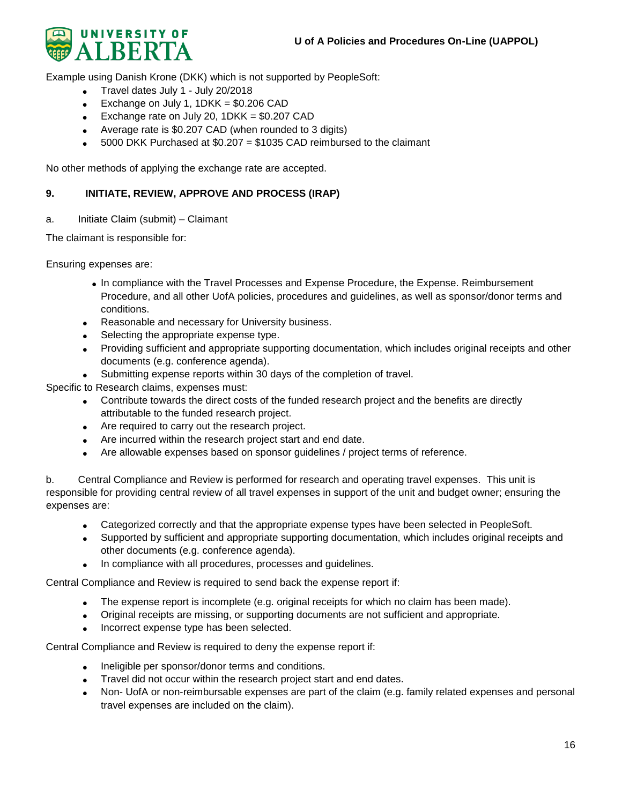

Example using Danish Krone (DKK) which is not supported by PeopleSoft:

- Travel dates July 1 July 20/2018
- Exchange on July 1,  $1DKK = $0.206$  CAD
- Exchange rate on July 20,  $1DKK = $0.207$  CAD
- Average rate is \$0.207 CAD (when rounded to 3 digits)
- 5000 DKK Purchased at \$0.207 = \$1035 CAD reimbursed to the claimant

<span id="page-15-0"></span>No other methods of applying the exchange rate are accepted.

#### **9. INITIATE, REVIEW, APPROVE AND PROCESS (IRAP)**

a. Initiate Claim (submit) – Claimant

The claimant is responsible for:

Ensuring expenses are:

- In compliance with the Travel Processes and Expense Procedure, the Expense. Reimbursement Procedure, and all other UofA policies, procedures and guidelines, as well as sponsor/donor terms and conditions.
- Reasonable and necessary for University business.
- Selecting the appropriate expense type.
- Providing sufficient and appropriate supporting documentation, which includes original receipts and other documents (e.g. conference agenda).
- Submitting expense reports within 30 days of the completion of travel.

Specific to Research claims, expenses must:

- Contribute towards the direct costs of the funded research project and the benefits are directly attributable to the funded research project.
- Are required to carry out the research project.
- Are incurred within the research project start and end date.
- Are allowable expenses based on sponsor guidelines / project terms of reference.

b. Central Compliance and Review is performed for research and operating travel expenses. This unit is responsible for providing central review of all travel expenses in support of the unit and budget owner; ensuring the expenses are:

- Categorized correctly and that the appropriate expense types have been selected in PeopleSoft.
- Supported by sufficient and appropriate supporting documentation, which includes original receipts and other documents (e.g. conference agenda).
- In compliance with all procedures, processes and guidelines.

Central Compliance and Review is required to send back the expense report if:

- The expense report is incomplete (e.g. original receipts for which no claim has been made).
- Original receipts are missing, or supporting documents are not sufficient and appropriate.
- Incorrect expense type has been selected.

Central Compliance and Review is required to deny the expense report if:

- Ineligible per sponsor/donor terms and conditions.
- Travel did not occur within the research project start and end dates.
- Non- UofA or non-reimbursable expenses are part of the claim (e.g. family related expenses and personal travel expenses are included on the claim).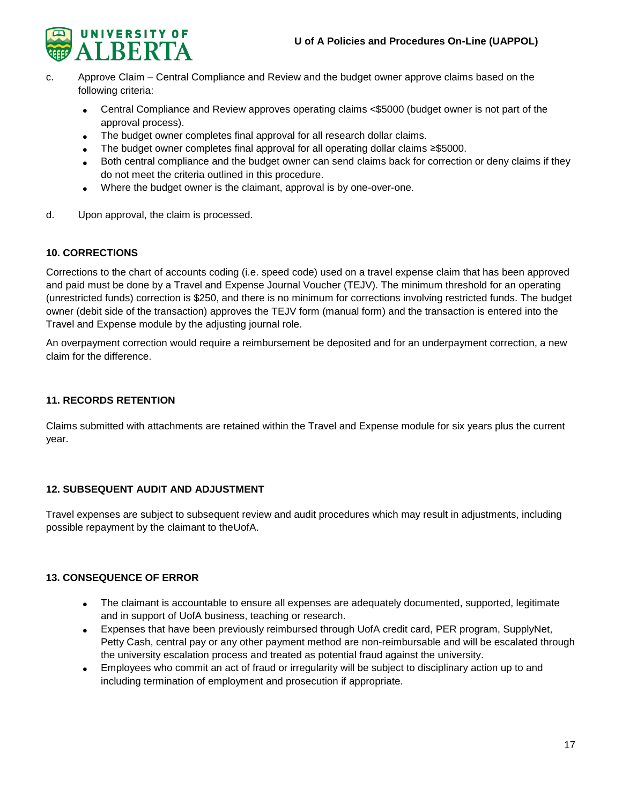

- c. Approve Claim Central Compliance and Review and the budget owner approve claims based on the following criteria:
	- Central Compliance and Review approves operating claims <\$5000 (budget owner is not part of the approval process).
	- The budget owner completes final approval for all research dollar claims.
	- The budget owner completes final approval for all operating dollar claims ≥\$5000.
	- Both central compliance and the budget owner can send claims back for correction or deny claims if they do not meet the criteria outlined in this procedure.
	- Where the budget owner is the claimant, approval is by one-over-one.
- d. Upon approval, the claim is processed.

## <span id="page-16-0"></span>**10. CORRECTIONS**

Corrections to the chart of accounts coding (i.e. speed code) used on a travel expense claim that has been approved and paid must be done by a Travel and Expense Journal Voucher (TEJV). The minimum threshold for an operating (unrestricted funds) correction is \$250, and there is no minimum for corrections involving restricted funds. The budget owner (debit side of the transaction) approves the TEJV form (manual form) and the transaction is entered into the Travel and Expense module by the adjusting journal role.

An overpayment correction would require a reimbursement be deposited and for an underpayment correction, a new claim for the difference.

## <span id="page-16-1"></span>**11. RECORDS RETENTION**

Claims submitted with attachments are retained within the Travel and Expense module for six years plus the current year.

## **12. SUBSEQUENT AUDIT AND ADJUSTMENT**

Travel expenses are subject to subsequent review and audit procedures which may result in adjustments, including possible repayment by the claimant to theUofA.

## <span id="page-16-2"></span>**13. CONSEQUENCE OF ERROR**

- The claimant is accountable to ensure all expenses are adequately documented, supported, legitimate and in support of UofA business, teaching or research.
- Expenses that have been previously reimbursed through UofA credit card, PER program, SupplyNet, Petty Cash, central pay or any other payment method are non-reimbursable and will be escalated through the university escalation process and treated as potential fraud against the university.
- Employees who commit an act of fraud or irregularity will be subject to disciplinary action up to and including termination of employment and prosecution if appropriate.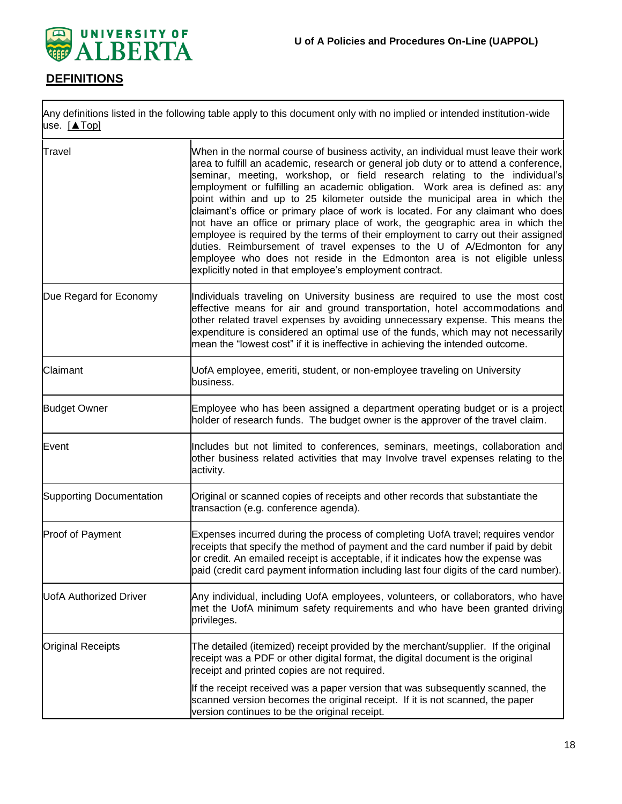

# **DEFINITIONS**

Any definitions listed in the following table apply to this document only with no implied or intended institution-wide use. [\[▲Top\]](#page-0-0)

| Travel                          | When in the normal course of business activity, an individual must leave their work<br>area to fulfill an academic, research or general job duty or to attend a conference,<br>seminar, meeting, workshop, or field research relating to the individual's<br>employment or fulfilling an academic obligation. Work area is defined as: any<br>point within and up to 25 kilometer outside the municipal area in which the<br>claimant's office or primary place of work is located. For any claimant who does<br>not have an office or primary place of work, the geographic area in which the<br>employee is required by the terms of their employment to carry out their assigned<br>duties. Reimbursement of travel expenses to the U of A/Edmonton for any<br>employee who does not reside in the Edmonton area is not eligible unless<br>explicitly noted in that employee's employment contract. |
|---------------------------------|--------------------------------------------------------------------------------------------------------------------------------------------------------------------------------------------------------------------------------------------------------------------------------------------------------------------------------------------------------------------------------------------------------------------------------------------------------------------------------------------------------------------------------------------------------------------------------------------------------------------------------------------------------------------------------------------------------------------------------------------------------------------------------------------------------------------------------------------------------------------------------------------------------|
| Due Regard for Economy          | Individuals traveling on University business are required to use the most cost<br>effective means for air and ground transportation, hotel accommodations and<br>other related travel expenses by avoiding unnecessary expense. This means the<br>expenditure is considered an optimal use of the funds, which may not necessarily<br>mean the "lowest cost" if it is ineffective in achieving the intended outcome.                                                                                                                                                                                                                                                                                                                                                                                                                                                                                   |
| Claimant                        | UofA employee, emeriti, student, or non-employee traveling on University<br>business.                                                                                                                                                                                                                                                                                                                                                                                                                                                                                                                                                                                                                                                                                                                                                                                                                  |
| <b>Budget Owner</b>             | Employee who has been assigned a department operating budget or is a project<br>holder of research funds. The budget owner is the approver of the travel claim.                                                                                                                                                                                                                                                                                                                                                                                                                                                                                                                                                                                                                                                                                                                                        |
| Event                           | Includes but not limited to conferences, seminars, meetings, collaboration and<br>other business related activities that may Involve travel expenses relating to the<br>activity.                                                                                                                                                                                                                                                                                                                                                                                                                                                                                                                                                                                                                                                                                                                      |
| <b>Supporting Documentation</b> | Original or scanned copies of receipts and other records that substantiate the<br>transaction (e.g. conference agenda).                                                                                                                                                                                                                                                                                                                                                                                                                                                                                                                                                                                                                                                                                                                                                                                |
| Proof of Payment                | Expenses incurred during the process of completing UofA travel; requires vendor<br>receipts that specify the method of payment and the card number if paid by debit<br>or credit. An emailed receipt is acceptable, if it indicates how the expense was<br>paid (credit card payment information including last four digits of the card number).                                                                                                                                                                                                                                                                                                                                                                                                                                                                                                                                                       |
| <b>UofA Authorized Driver</b>   | Any individual, including UofA employees, volunteers, or collaborators, who have<br>met the UofA minimum safety requirements and who have been granted driving<br>privileges.                                                                                                                                                                                                                                                                                                                                                                                                                                                                                                                                                                                                                                                                                                                          |
| <b>Original Receipts</b>        | The detailed (itemized) receipt provided by the merchant/supplier. If the original<br>receipt was a PDF or other digital format, the digital document is the original<br>receipt and printed copies are not required.                                                                                                                                                                                                                                                                                                                                                                                                                                                                                                                                                                                                                                                                                  |
|                                 | If the receipt received was a paper version that was subsequently scanned, the<br>scanned version becomes the original receipt. If it is not scanned, the paper<br>version continues to be the original receipt.                                                                                                                                                                                                                                                                                                                                                                                                                                                                                                                                                                                                                                                                                       |